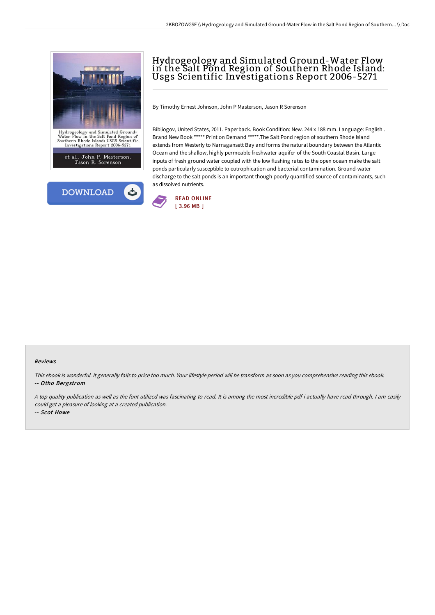

## Hydrogeology and Simulated Ground-Water Flow in the Salt Pond Region of Southern Rhode Island: Usgs Scientific Investigations Report 2006-5271

By Timothy Ernest Johnson, John P Masterson, Jason R Sorenson

Bibliogov, United States, 2011. Paperback. Book Condition: New. 244 x 188 mm. Language: English . Brand New Book \*\*\*\*\* Print on Demand \*\*\*\*\*.The Salt Pond region of southern Rhode Island extends from Westerly to Narragansett Bay and forms the natural boundary between the Atlantic Ocean and the shallow, highly permeable freshwater aquifer of the South Coastal Basin. Large inputs of fresh ground water coupled with the low flushing rates to the open ocean make the salt ponds particularly susceptible to eutrophication and bacterial contamination. Ground-water discharge to the salt ponds is an important though poorly quantified source of contaminants, such as dissolved nutrients.



## Reviews

This ebook is wonderful. It generally fails to price too much. Your lifestyle period will be transform as soon as you comprehensive reading this ebook. -- Otho Bergstrom

<sup>A</sup> top quality publication as well as the font utilized was fascinating to read. It is among the most incredible pdf i actually have read through. <sup>I</sup> am easily could get <sup>a</sup> pleasure of looking at <sup>a</sup> created publication.

-- Scot Howe